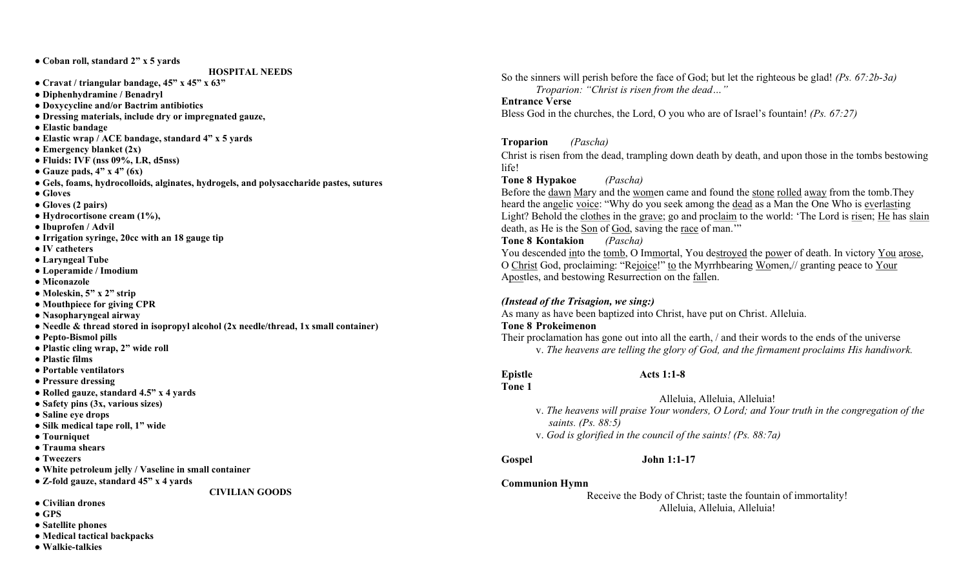● Coban roll, standard 2" x 5 yards

HOSPITAL NEEDS

- Cravat / triangular bandage, 45" x 45" x 63"
- Diphenhydramine / Benadryl
- Doxycycline and/or Bactrim antibiotics
- Dressing materials, include dry or impregnated gauze,
- Elastic bandage
- Elastic wrap / ACE bandage, standard 4" x 5 yards
- $\bullet$  Emergency blanket  $(2x)$
- $\bullet$  Fluids: IVF (nss 09%, LR, d5nss)
- Gauze pads,  $4"$  x  $4"$  (6x)
- Gels, foams, hydrocolloids, alginates, hydrogels, and polysaccharide pastes, sutures
- Gloves
- Gloves (2 pairs)
- Hydrocortisone cream (1%),
- Ibuprofen / Advil
- Irrigation syringe, 20cc with an 18 gauge tip
- IV catheters
- Laryngeal Tube
- Loperamide / Imodium
- Miconazole
- Moleskin, 5" x 2" strip
- Mouthpiece for giving CPR
- Nasopharyngeal airway
- Needle & thread stored in isopropyl alcohol (2x needle/thread, 1x small container)
- Pepto-Bismol pills
- Plastic cling wrap, 2" wide roll
- Plastic films
- Portable ventilators
- Pressure dressing
- Rolled gauze, standard 4.5" x 4 yards
- Safety pins (3x, various sizes)
- Saline eye drops
- Silk medical tape roll, 1" wide
- Tourniquet
- Trauma shears
- Tweezers
- White petroleum jelly / Vaseline in small container
- Z-fold gauze, standard 45" x 4 yards

CIVILIAN GOODS

- Civilian drones
- GPS
- Satellite phones
- Medical tactical backpacks
- Walkie-talkies

So the sinners will perish before the face of God; but let the righteous be glad! ( $Ps$ ,  $67:2b-3a$ ) Troparion: "Christ is risen from the dead…"

#### Entrance Verse

Bless God in the churches, the Lord, O you who are of Israel's fountain! (Ps. 67:27)

### Troparion (Pascha)

Christ is risen from the dead, trampling down death by death, and upon those in the tombs bestowing life!

# Tone 8 Hypakoe (Pascha)

Before the dawn Mary and the women came and found the stone rolled away from the tomb.They heard the angelic voice: "Why do you seek among the dead as a Man the One Who is everlasting Light? Behold the clothes in the grave; go and proclaim to the world: 'The Lord is risen; He has slain death, as He is the Son of God, saving the race of man.'"

## Tone 8 Kontakion (Pascha)

You descended into the tomb, O Immortal, You destroyed the power of death. In victory You arose, O Christ God, proclaiming: "Rejoice!" to the Myrrhbearing Women,// granting peace to Your Apostles, and bestowing Resurrection on the fallen.

## (Instead of the Trisagion, we sing:)

As many as have been baptized into Christ, have put on Christ. Alleluia.

#### Tone 8 Prokeimenon

Their proclamation has gone out into all the earth, / and their words to the ends of the universe v. The heavens are telling the glory of God, and the firmament proclaims His handiwork.

Epistle Acts 1:1-8 Tone 1

Alleluia, Alleluia, Alleluia!

- v. The heavens will praise Your wonders, O Lord; and Your truth in the congregation of the saints. (Ps. 88:5)
- v. God is glorified in the council of the saints! (Ps. 88:7a)
- 

Gospel John 1:1-17

# Communion Hymn

Receive the Body of Christ; taste the fountain of immortality! Alleluia, Alleluia, Alleluia!